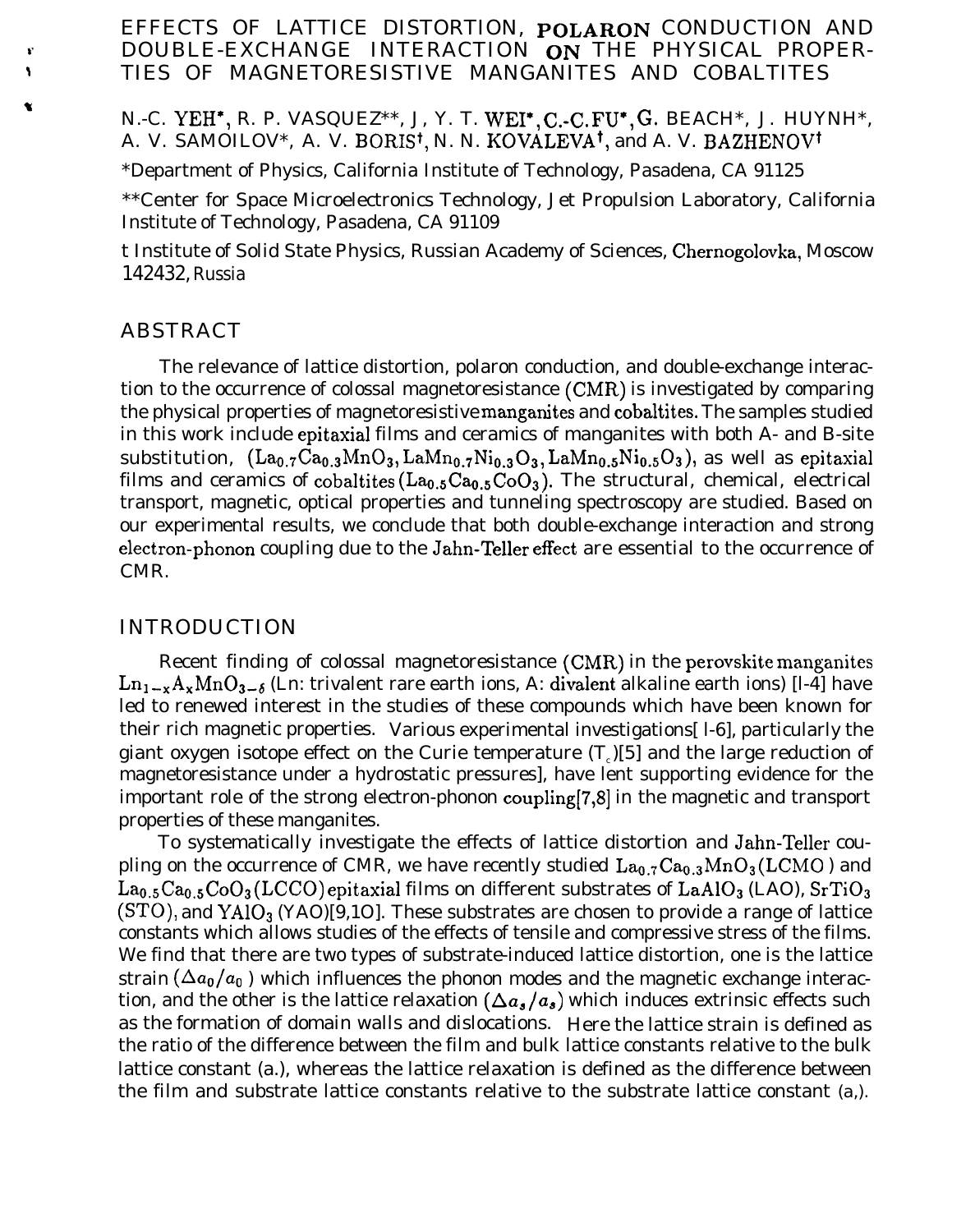## EFFECTS OF LATTICE DISTORTION, POLARON CONDUCTION AND DOUBLE-EXCHANGE INTERACTION ON THE PHYSICAL PROPER-TIES OF MAGNETORESISTIVE MANGANITES AND COBALTITES

## N.-C. YEH<sup>\*</sup>, R. P. VASQUEZ<sup>\*\*</sup>, J, Y. T. WEI<sup>\*</sup>, C.-C. FU<sup>\*</sup>, G. BEACH<sup>\*</sup>, J. HUYNH<sup>\*</sup>, A. V. SAMOILOV\*, A. V. BORIS<sup>†</sup>, N. N. KOVALEVA<sup>†</sup>, and A. V. BAZHENOV<sup>†</sup>

\*Department of Physics, California Institute of Technology, Pasadena, CA 91125

\*\*Center for Space Microelectronics Technology, Jet Propulsion Laboratory, California Institute of Technology, Pasadena, CA 91109

t Institute of Solid State Physics, Russian Academy of Sciences, Chernogolovka, Moscow 142432, Russia

#### ABSTRACT

¥  $\overline{\mathbf{r}}$ 

> The relevance of lattice distortion, polaron conduction, and double-exchange interaction to the occurrence of colossal magnetoresistance (CMR) is investigated by comparing the physical properties of magnetoresistive manganites and cobaltites. The samples studied in this work include epitaxial films and ceramics of manganites with both A- and B-site substitution,  $(La_{0.7}Ca_{0.3}MnO_3, LaMn_{0.7}Ni_{0.3}O_3, LaMn_{0.5}Ni_{0.5}O_3)$ , as well as epitaxial films and ceramics of cobaltites  $(La_{0.5}Ca_{0.5}CoO_3)$ . The structural, chemical, electrical transport, magnetic, optical properties and tunneling spectroscopy are studied. Based on our experimental results, we conclude that both double-exchange interaction and strong electron-phonon coupling due to the Jahn-Teller effect are essential to the occurrence of CMR.

#### INTRODUCTION

Recent finding of colossal magnetoresistance (CMR) in the perovskite manganites  $\text{Ln}_{1-x}\text{A}_{x}\text{MnO}_{3-6}$  (Ln: trivalent rare earth ions, A: divalent alkaline earth ions) [l-4] have led to renewed interest in the studies of these compounds which have been known for their rich magnetic properties. Various experimental investigations[ l-6], particularly the giant oxygen isotope effect on the Curie temperature  $(T<sub>c</sub>)[5]$  and the large reduction of magnetoresistance under a hydrostatic pressures], have lent supporting evidence for the important role of the strong electron-phonon coupling[7,8] in the magnetic and transport properties of these manganites.

To systematically investigate the effects of lattice distortion and Jahn-Teller coupling on the occurrence of CMR, we have recently studied  $La_{0.7}Ca_{0.3}MnO_3(LCMO)$  and  $La<sub>0.5</sub>Ca<sub>0.5</sub>CoO<sub>3</sub>(LCCO)$  epitaxial films on different substrates of  $LaAlO<sub>3</sub> (LAO)$ ,  $SrTiO<sub>3</sub>$  $(T5TO)$ , and  $YAlO<sub>3</sub> (YAO)$ [9,10]. These substrates are chosen to provide a range of lattice constants which allows studies of the effects of tensile and compressive stress of the films. We find that there are two types of substrate-induced lattice distortion, one is the lattice strain  $(\Delta a_0/a_0)$  which influences the phonon modes and the magnetic exchange interaction, and the other is the lattice relaxation  $(\Delta a_{s}/a_{s})$  which induces extrinsic effects such as the formation of domain walls and dislocations. Here the lattice strain is defined as the ratio of the difference between the film and bulk lattice constants relative to the bulk lattice constant (a.), whereas the lattice relaxation is defined as the difference between the film and substrate lattice constants relative to the substrate lattice constant *(a,).*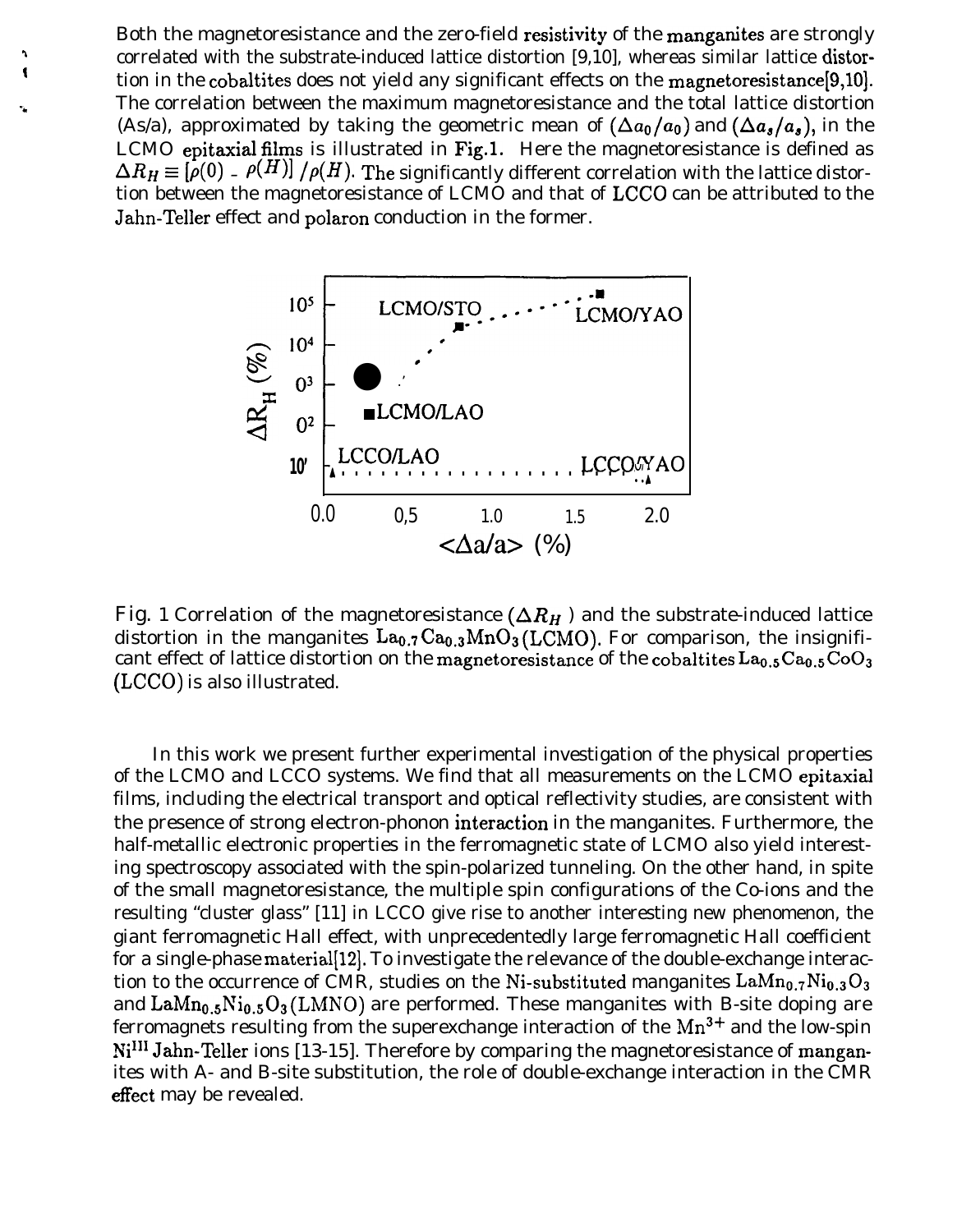Both the magnetoresistance and the zero-field resistivity of the manganites are strongly correlated with the substrate-induced lattice distortion [9,10], whereas similar lattice distortion in the cobaltites does not yield any significant effects on the magnetoresistance[9,10]. The correlation between the maximum magnetoresistance and the total lattice distortion (As/a), approximated by taking the geometric mean of  $(\Delta a_0/a_0)$  and  $(\Delta a_s/a_s)$ , in the LCMO epitaxial films is illustrated in Fig.1. Here the magnetoresistance is defined as  $\Delta R_H \equiv \left[\rho(0) - \rho(H)\right]/\rho(H)$ . The significantly different correlation with the lattice distortion between the magnetoresistance of LCMO and that of LCCO can be attributed to the Jahn-Teller effect and polaron conduction in the former.

t



Fig. 1 Correlation of the magnetoresistance  $(\Delta R_H)$  and the substrate-induced lattice distortion in the manganites  $La_{0.7}Ca_{0.3}MnO_3(LCMO)$ . For comparison, the insignificant effect of lattice distortion on the magnetoresistance of the cobaltites  $La_{0.5}Ca_{0.5}CoO_3$ (LCCO) is also illustrated.

In this work we present further experimental investigation of the physical properties of the LCMO and LCCO systems. We find that all measurements on the LCMO epitaxial films, including the electrical transport and optical reflectivity studies, are consistent with the presence of strong electron-phonon interadion in the manganites. Furthermore, the half-metallic electronic properties in the ferromagnetic state of LCMO also yield interesting spectroscopy associated with the spin-polarized tunneling. On the other hand, in spite of the small magnetoresistance, the multiple spin configurations of the Co-ions and the resulting "cluster glass" [11] in LCCO give rise to another interesting new phenomenon, the giant ferromagnetic Hall effect, with unprecedentedly large ferromagnetic Hall coefficient for a single-phase material[12]. To investigate the relevance of the double-exchange interaction to the occurrence of CMR, studies on the Ni-substituted manganites  $\text{LaMn}_{0.7}\text{Ni}_{0.3}\text{O}_3$ and  $\text{LaMn}_{0.5}\text{Ni}_{0.5}\text{O}_3(\text{LMNO})$  are performed. These manganites with B-site doping are ferromagnets resulting from the superexchange interaction of the  $Mn^{3+}$  and the low-spin Ni<sup>III</sup> Jahn-Teller ions [13-15]. Therefore by comparing the magnetoresistance of manganites with A- and B-site substitution, the role of double-exchange interaction in the CMR effect may be revealed.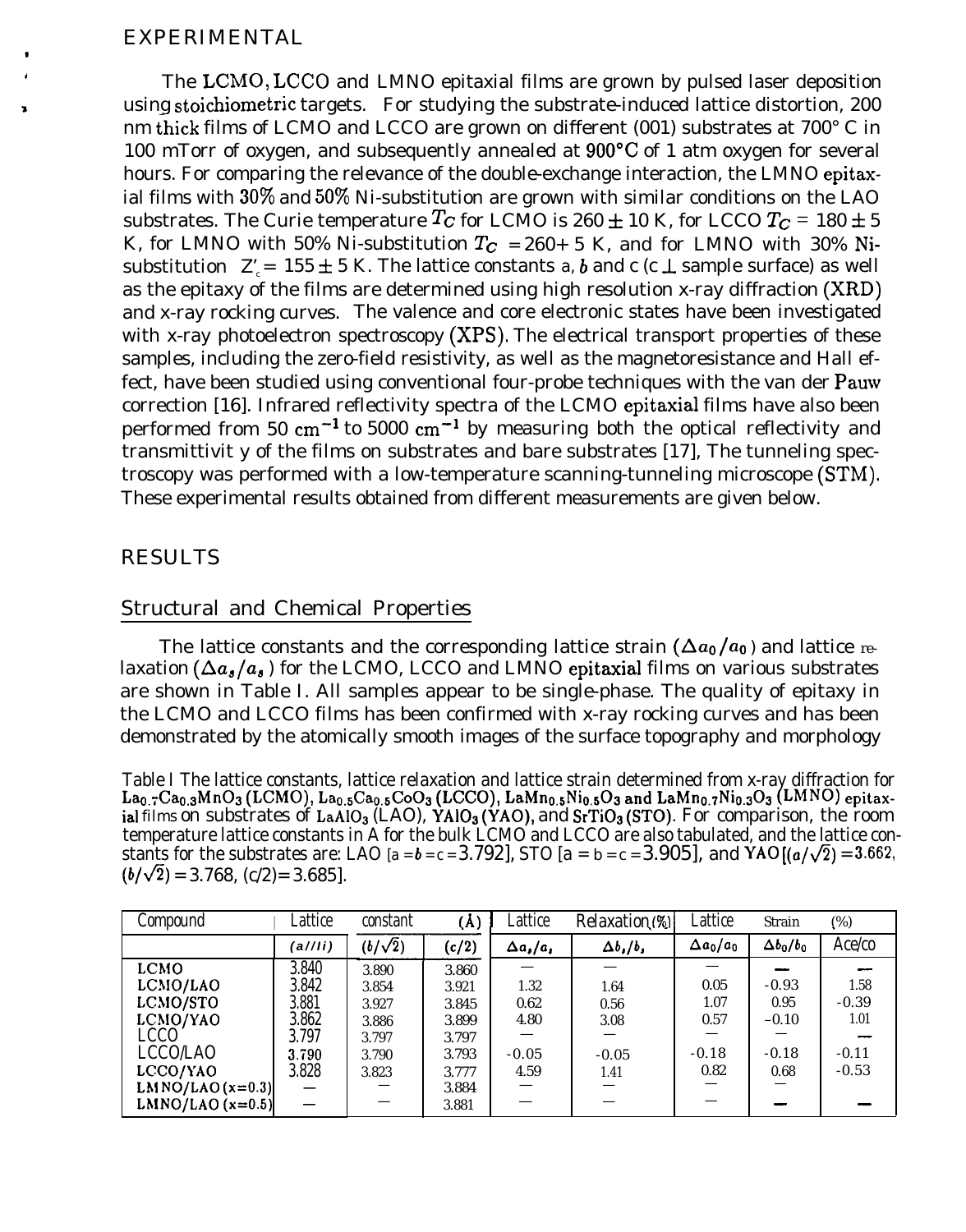## EXPERIMENTAL

\*

 $\Gamma$  The  $\rm LCMO, LCCO$  and  $\rm L MNO$  epitaxial films are grown by pulsed laser deposition <sup>a</sup> using stoichiometric targets. For studying the substrate-induced lattice distortion, 200 nm thick films of LCMO and LCCO are grown on different  $(001)$  substrates at  $700^{\circ}$  C in 100 mTorr of oxygen, and subsequently annealed at 900"C of 1 atm oxygen for several hours. For comparing the relevance of the double-exchange interaction, the LMNO epitaxial films with  $30\%$  and  $50\%$  Ni-substitution are grown with similar conditions on the LAO substrates. The Curie temperature  $T_c$  for LCMO is 260  $\pm$  10 K, for LCCO  $T_c$  = 180  $\pm$  5 K, for LMNO with 50% Ni-substitution  $T_c$  = 260+ 5 K, and for LMNO with 30% Nisubstitution  $Z' = 155 \pm 5$  K. The lattice constants *a*, *b* and c (c  $\perp$  sample surface) as well as the epitaxy of the films are determined using high resolution x-ray diffraction (XRD) and x-ray rocking curves. The valence and core electronic states have been investigated with x-ray photoelectron spectroscopy (XPS). The electrical transport properties of these samples, including the zero-field resistivity, as well as the magnetoresistance and Hall effect, have been studied using conventional four-probe techniques with the van der Pauw correction [16]. Infrared reflectivity spectra of the LCMO epitaxial films have also been performed from 50 cm<sup>-1</sup> to 5000 cm<sup>-1</sup> by measuring both the optical reflectivity and transmittivit y of the films on substrates and bare substrates [17], The tunneling spectroscopy was performed with a low-temperature scanning-tunneling microscope (STM). These experimental results obtained from different measurements are given below.

## RESULTS

# Structural and Chemical Properties

The lattice constants and the corresponding lattice strain  $(\Delta a_0/a_0)$  and lattice relaxation ( $\Delta a_s/a_s$ ) for the LCMO, LCCO and LMNO epitaxial films on various substrates are shown in Table I. All samples appear to be single-phase. The quality of epitaxy in the LCMO and LCCO films has been confirmed with x-ray rocking curves and has been demonstrated by the atomically smooth images of the surface topography and morphology

Table I The lattice constants, lattice relaxation and lattice strain determined from x-ray diffraction for  $\rm La_{0.7}Ca_{0.3}MnO_3$  (LCMO),  $\rm La_{0.5}Ca_{0.5}CoO_3$  (LCCO),  $\rm LaMn_{0.5}Ni_{0.5}O_3$  and  $\rm LaMn_{0.7}Ni_{0.3}O_3$  (LMNO) epitaxial *films* on substrates of LaAIOs (LAO), YA103 (YAO), and SrTi03 (STO). For comparison, the room temperature lattice constants in A for the bulk LCMO and LCCO are also tabulated, and the lattice constants for the substrates are: LAO  $[a = b = c = 3.792]$ , STO  $[a = b = c = 3.905]$ , and YAO  $[(a/\sqrt{2}) = 3.662]$ ,  $(b/\sqrt{2}) = 3.768$ ,  $(c/2) = 3.685$ .

| Compound           | Lattice | constant       | $(\text{\AA})$ | Lattice          | Relaxation (%)      | Lattice          | Strain           | $(\%)$  |
|--------------------|---------|----------------|----------------|------------------|---------------------|------------------|------------------|---------|
|                    | (a//ii) | $(b/\sqrt{2})$ | (c/2)          | $\Delta a_i/a_i$ | $\Delta b$ ,/ $b$ , | $\Delta a_0/a_0$ | $\Delta b_0/b_0$ | Ace/co  |
| LCMO               | 3.840   | 3.890          | 3.860          |                  |                     |                  |                  | --      |
| LCMO/LAO           | 3.842   | 3.854          | 3.921          | 1.32             | 1.64                | 0.05             | $-0.93$          | 1.58    |
| LCMO/STO           | 3.881   | 3.927          | 3.845          | 0.62             | 0.56                | 1.07             | 0.95             | $-0.39$ |
| LCMO/YAO           | 3.862   | 3.886          | 3.899          | 4.80             | 3.08                | 0.57             | $-0.10$          | 1.01    |
| LCCO               | 3.797   | 3.797          | 3.797          |                  |                     |                  |                  |         |
| LCCO/LAO           | 3.790   | 3.790          | 3.793          | $-0.05$          | $-0.05$             | $-0.18$          | $-0.18$          | $-0.11$ |
| LCCO/YAO           | 3.828   | 3.823          | 3.777          | 4.59             | 1.41                | 0.82             | 0.68             | $-0.53$ |
| LMNO/LAO $(x=0.3)$ |         |                | 3.884          |                  |                     |                  |                  |         |
| LMNO/LAO $(x=0.5)$ |         |                | 3.881          |                  |                     |                  |                  |         |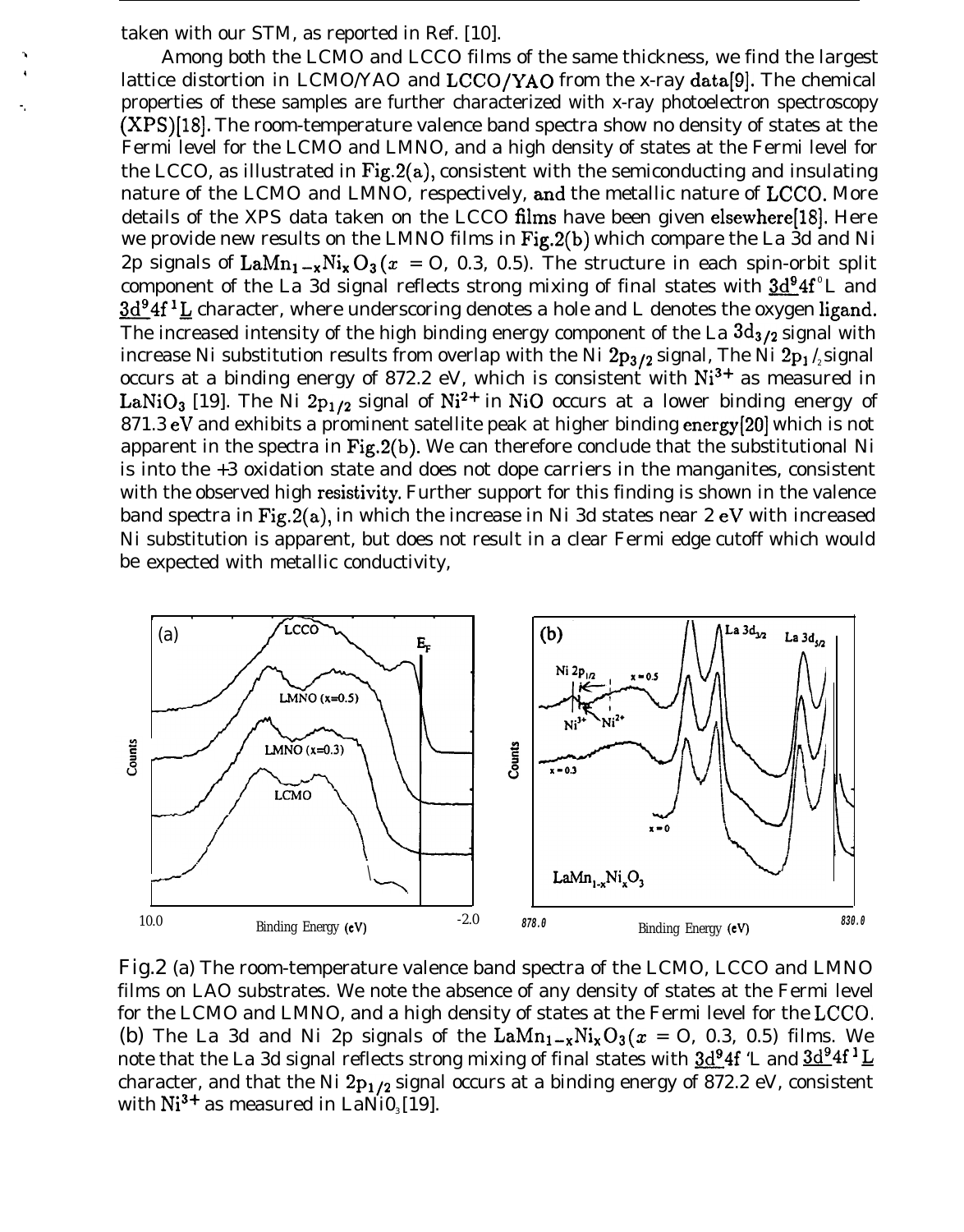taken with our STM, as reported in Ref. [10].

. .

Among both the LCMO and LCCO films of the same thickness, we find the largest lattice distortion in LCMO/YAO and LCCO/YAO from the x-ray data[9]. The chemical properties of these samples are further characterized with x-ray photoelectron spectroscopy (XPS)[18]. The room-temperature valence band spectra show no density of states at the Fermi level for the LCMO and LMNO, and a high density of states at the Fermi level for the LCCO, as illustrated in  $Fig.2(a)$ , consistent with the semiconducting and insulating nature of the LCMO and LMNO, respectively, and the metallic nature of LCCO. More details of the XPS data taken on the LCCO films have been given elsewhere[18]. Here we provide new results on the LMNO films in Fig.2(b) which compare the La 3d and Ni 2p signals of  $\text{LaMn}_1 - x\text{Ni}_x\text{O}_3(x = 0, 0.3, 0.5)$ . The structure in each spin-orbit split component of the La 3d signal reflects strong mixing of final states with  $3d^{9}4f^{0}L$  and  $3d^{9}4f^{1}L$  character, where underscoring denotes a hole and L denotes the oxygen ligand. The increased intensity of the high binding energy component of the La  $3d_{3/2}$  signal with increase Ni substitution results from overlap with the Ni  $2p_{3/2}$  signal, The Ni  $2p_1/2$  signal occurs at a binding energy of 872.2 eV, which is consistent with  $Ni<sup>3+</sup>$  as measured in LaNiO<sub>3</sub> [19]. The Ni 2p<sub>1/2</sub> signal of Ni<sup>2+</sup> in NiO occurs at a lower binding energy of 871.3 eV and exhibits a prominent satellite peak at higher binding energy[20] which is not apparent in the spectra in Fig.2(b). We can therefore conclude that the substitutional Ni is into the +3 oxidation state and does not dope carriers in the manganites, consistent with the observed high resistivity. Further support for this finding is shown in the valence band spectra in Fig.2(a), in which the increase in Ni 3d states near 2 eV with increased Ni substitution is apparent, but does not result in a clear Fermi edge cutoff which would be expected with metallic conductivity,



Fig.2 (a) The room-temperature valence band spectra of the LCMO, LCCO and LMNO films on LAO substrates. We note the absence of any density of states at the Fermi level for the LCMO and LMNO, and a high density of states at the Fermi level for the LCCO, (b) The La 3d and Ni 2p signals of the  $\text{LaMn}_{1-x}\text{Ni}_x\text{O}_3 (x = 0, 0.3, 0.5)$  films. We note that the La 3d signal reflects strong mixing of final states with  $3d^{9}4f$  'L and  $3d^{9}4f^{1}L$ character, and that the Ni  $2p_1/2$  signal occurs at a binding energy of 872.2 eV, consistent with  $Ni<sup>3+</sup>$  as measured in LaNi0<sub>3</sub> [19].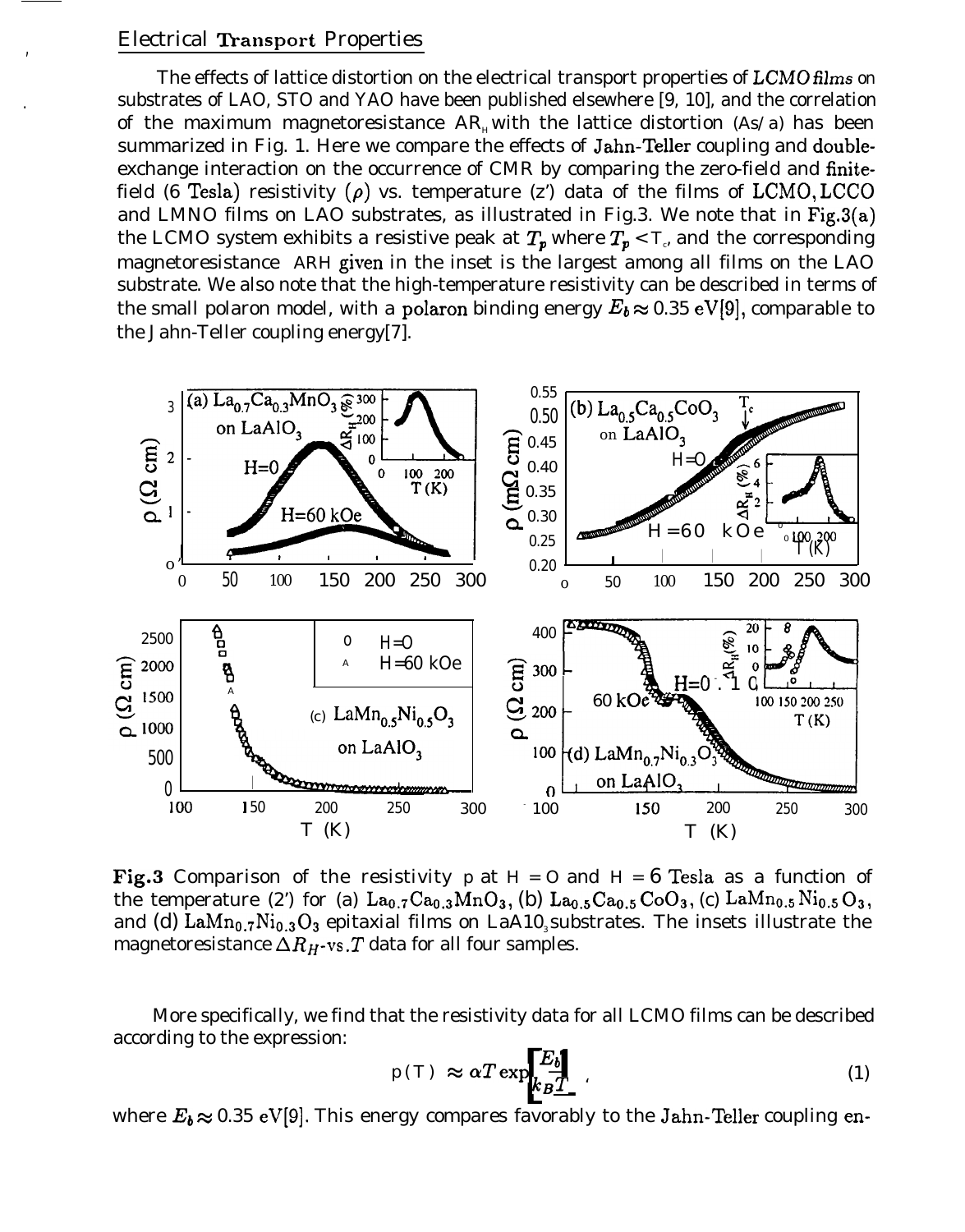#### Electrical Transport Properties

,

The effects of lattice distortion on the electrical transport properties of *LCMO films on .* substrates of LAO, STO and YAO have been published elsewhere [9, 10], and the correlation of the maximum magnetoresistance  $AR_{\mu}$  with the lattice distortion *(As/a)* has been summarized in Fig. 1. Here we compare the effects of Jahn-Teller coupling and doubleexchange interaction on the occurrence of CMR by comparing the zero-field and finitefield (6 Tesla) resistivity ( $\rho$ ) vs. temperature (z') data of the films of LCMO, LCCO and LMNO films on LAO substrates, as illustrated in Fig.3. We note that in  $Fig.3(a)$ the LCMO system exhibits a resistive peak at  $T_{\bm p}$  where  $T_{\bm p} < T_c$  and the corresponding magnetoresistance *ARH* given in the inset is the largest among all films on the LAO substrate. We also note that the high-temperature resistivity can be described in terms of the small polaron model, with a polaron binding energy  $E_b \approx 0.35 \text{ eV}[9]$ , comparable to the Jahn-Teller coupling energy[7].



Fig.3 Comparison of the resistivity  $p$  at  $H = O$  and  $H = 6$  Tesla as a function of the temperature (2) for (a)  $La_{0.7}Ca_{0.3}MnO_3$ , (b)  $La_{0.5}Ca_{0.5}CoO_3$ , (c)  $LaMn_{0.5}Ni_{0.5}O_3$ , and (d) LaMn<sub>0.7</sub>Ni<sub>0.3</sub>O<sub>3</sub> epitaxial films on LaA10<sub>3</sub> substrates. The insets illustrate the magnetoresistance  $\Delta R_H$ -vs. T data for all four samples.

More specifically, we find that the resistivity data for all LCMO films can be described according to the expression:

$$
p(T) \approx \alpha T \exp\left[\frac{E_{b}}{k_{B}T}\right]
$$
\n(1)

where  $E_b \approx 0.35$  eV[9]. This energy compares favorably to the Jahn-Teller coupling en-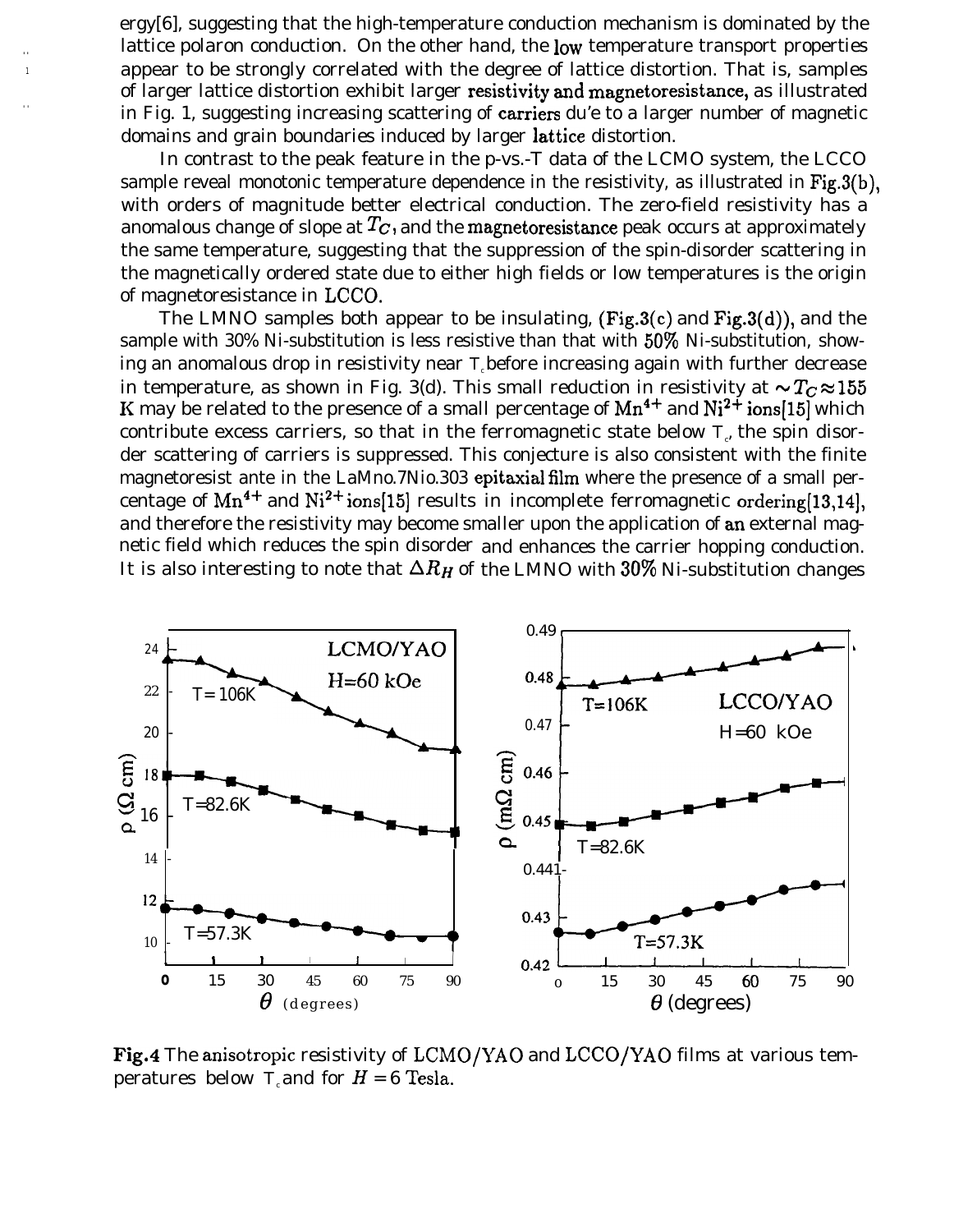ergy[6], suggesting that the high-temperature conduction mechanism is dominated by the lattice polaron conduction. On the other hand, the low temperature transport properties appear to be strongly correlated with the degree of lattice distortion. That is, samples of larger lattice distortion exhibit larger resistivity and magnetoresistance, as illustrated in Fig. 1, suggesting increasing scattering of carriers du'e to a larger number of magnetic domains and grain boundaries induced by larger lattice distortion.

In contrast to the peak feature in the p-vs.-T data of the LCMO system, the LCCO sample reveal monotonic temperature dependence in the resistivity, as illustrated in Fig.3(b), with orders of magnitude better electrical conduction. The zero-field resistivity has a anomalous change of slope at  $T_c$ , and the magnetoresistance peak occurs at approximately the same temperature, suggesting that the suppression of the spin-disorder scattering in the magnetically ordered state due to either high fields or low temperatures is the origin of magnetoresistance in LCCO.

The LMNO samples both appear to be insulating,  $(Fig.3(c)$  and  $Fig.3(d)$ , and the sample with 30% Ni-substitution is less resistive than that with 50% Ni-substitution, showing an anomalous drop in resistivity near *Tc* before increasing again with further decrease in temperature, as shown in Fig. 3(d). This small reduction in resistivity at  $\sim T_c \approx 155$ *K* may be related to the presence of a small percentage of  $Mn^{4+}$  and  $Ni^{2+}$  ions[15] which contribute excess carriers, so that in the ferromagnetic state below  $T_c$  the spin disorder scattering of carriers is suppressed. This conjecture is also consistent with the finite magnetoresist ante in the LaMno.7Nio.303 epitaxial film where the presence of a small percentage of  $Mn^{4+}$  and  $Ni^{2+}$  ions[15] results in incomplete ferromagnetic ordering[13,14], and therefore the resistivity may become smaller upon the application of an external magnetic field which reduces the spin disorder and enhances the carrier hopping conduction. It is also interesting to note that  $\Delta R_H$  of the LMNO with  $30\%$  Ni-substitution changes



Fig.4 The anisotropic resistivity of LCMO/YAO and LCCO/YAO films at various temperatures below *T*<sub>c</sub> and for  $H = 6$  Tesla.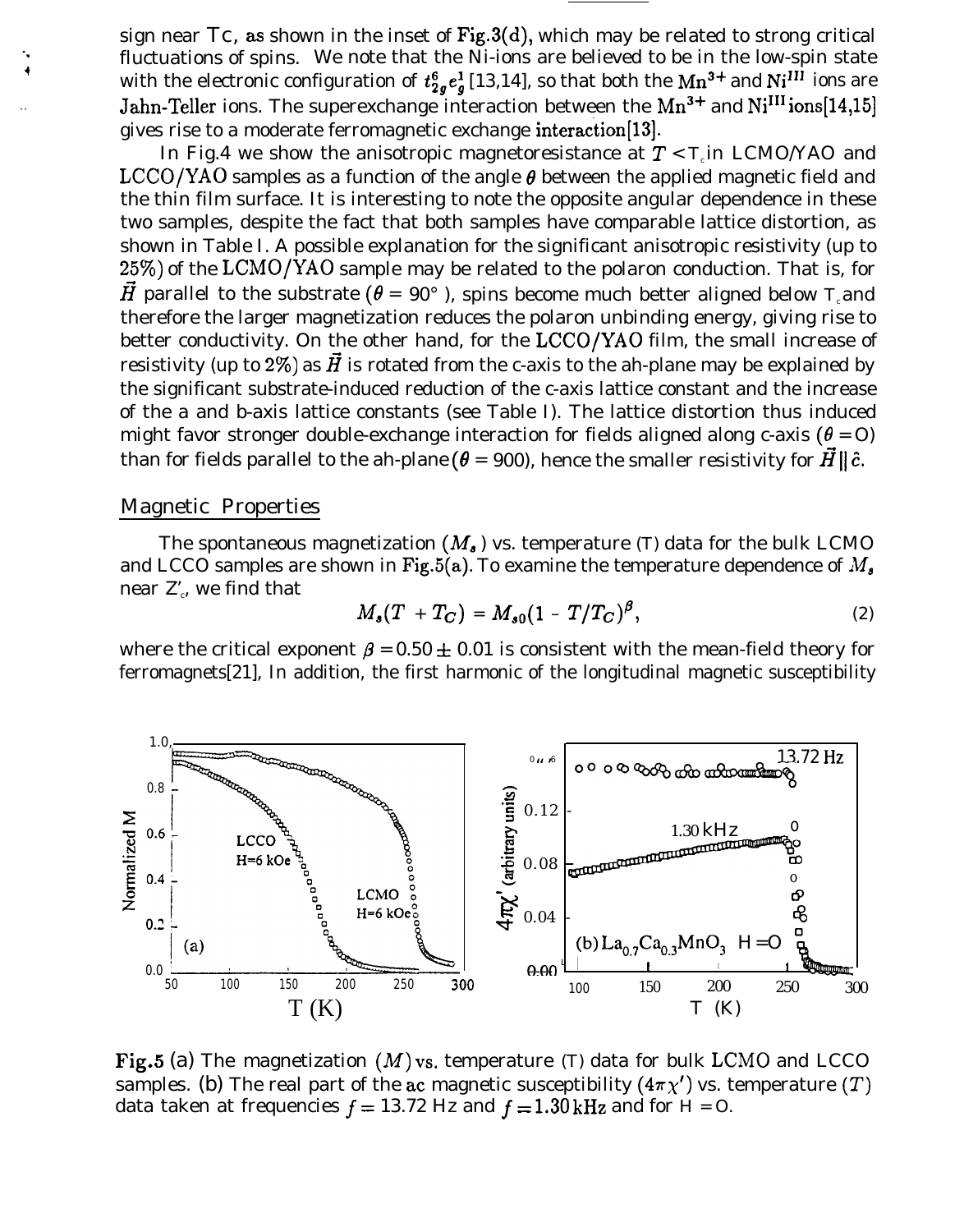sign near  $T_c$ , as shown in the inset of Fig.3(d), which may be related to strong critical fluctuations of spins. We note that the Ni-ions are believed to be in the low-spin state with the electronic configuration of  $t^{6}_{2q}e^{1}_{q}$  [13,14], so that both the Mn<sup>3+</sup> and Ni<sup>III</sup> ions are Jahn-Teller ions. The superexchange interaction between the  $Mn^{3+}$  and  $Ni<sup>III</sup>$  ions[14,15] gives rise to a moderate ferromagnetic exchange interaction[13].

In Fig.4 we show the anisotropic magnetoresistance at  $T < T$  in LCMO/YAO and LCCO/YAO samples as a function of the angle  $\theta$  between the applied magnetic field and the thin film surface. It is interesting to note the opposite angular dependence in these two samples, despite the fact that both samples have comparable lattice distortion, as shown in Table I. A possible explanation for the significant anisotropic resistivity (up to 2570) of the LCMO/YAO sample may be related to the polaron conduction. That is, for  $\vec{H}$  parallel to the substrate ( $\theta = 90^{\circ}$ ), spins become much better aligned below *T* and therefore the larger magnetization reduces the polaron unbinding energy, giving rise to better conductivity. On the other hand, for the LCCO/YAO film, the small increase of resistivity (up to 2%) as  $\vec{H}$  is rotated from the c-axis to the ah-plane may be explained by the significant substrate-induced reduction of the c-axis lattice constant and the increase of the a and b-axis lattice constants (see Table I). The lattice distortion thus induced might favor stronger double-exchange interaction for fields aligned along c-axis ( $\theta = O$ ) than for fields parallel to the ah-plane ( $\theta = 900$ ), hence the smaller resistivity for  $\vec{H} \parallel \hat{c}$ .

#### Magnetic Properties

The spontaneous magnetization  $(M_{\bullet})$  vs. temperature *(T)* data for the bulk LCMO and LCCO samples are shown in Fig.5(a). To examine the temperature dependence of  $M_{\rm s}$ near  $\mathbf{Z}^{\prime}_{\cdot}$ , we find that

$$
M_s(T + T_C) = M_{s0}(1 - T/T_C)^{\beta}, \qquad (2)
$$

where the critical exponent  $\beta = 0.50 \pm 0.01$  is consistent with the mean-field theory for ferromagnets[21], In addition, the first harmonic of the longitudinal magnetic susceptibility



Fig.5 (a) The magnetization  $(M)$  vs. temperature  $(T)$  data for bulk LCMO and LCCO samples. (b) The real part of the ac magnetic susceptibility  $(4\pi\chi')$  vs. temperature (T) data taken at frequencies  $f = 13.72$  Hz and  $f = 1.30$  kHz and for  $H = O$ .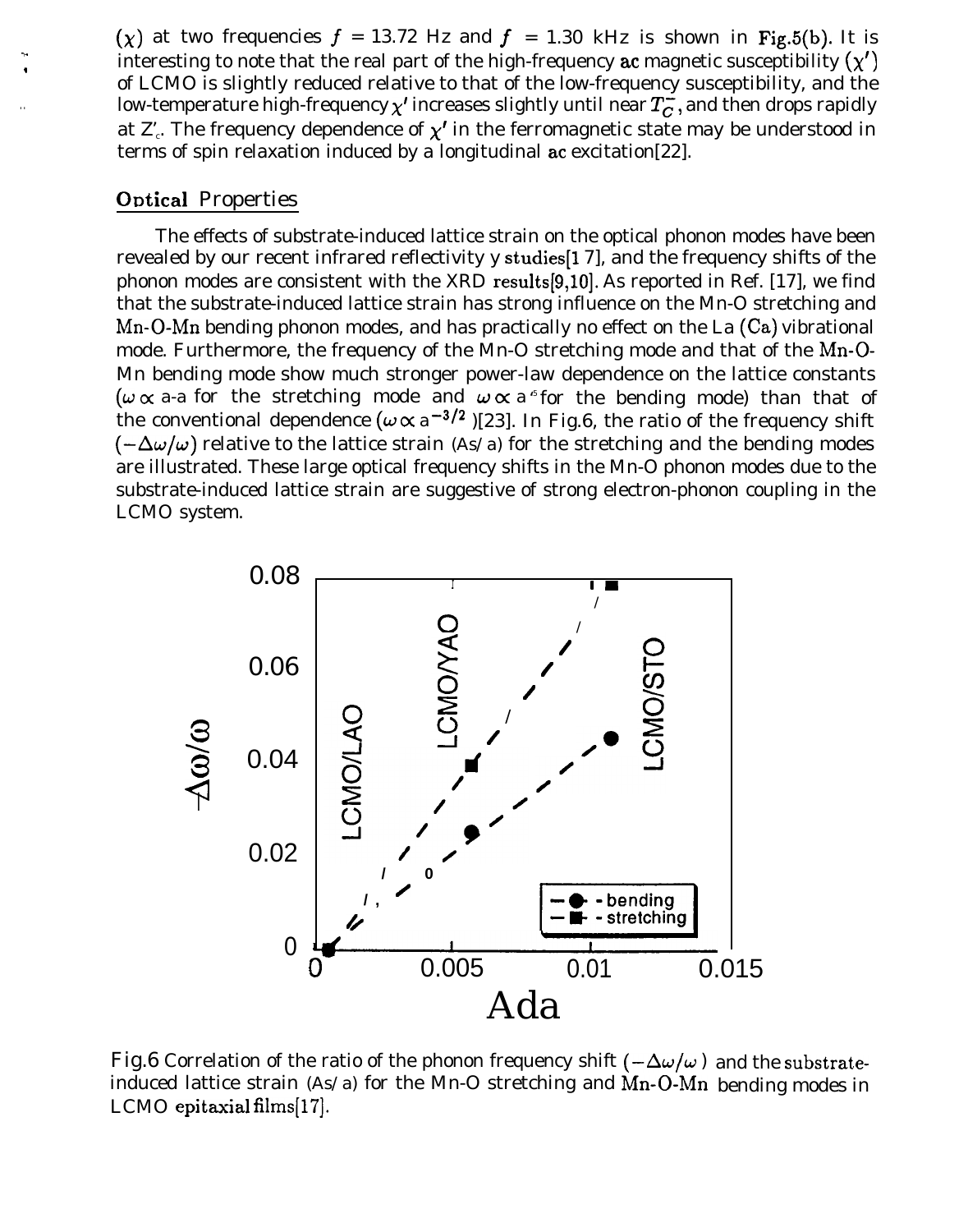(x) at two frequencies  $f = 13.72$  Hz and  $f = 1.30$  kHz is shown in Fig.5(b). It is interesting to note that the real part of the high-frequency ac magnetic susceptibility  $(y')$ of LCMO is slightly reduced relative to that of the low-frequency susceptibility, and the low-temperature high-frequency  $\chi'$  increases slightly until near  $T_c^2$ , and then drops rapidly at  $\mathbf{Z}_c$ . The frequency dependence of  $\boldsymbol{\chi'}$  in the ferromagnetic state may be understood in terms of spin relaxation induced by a longitudinal ac excitation[22].

## **Optical Properties**

 $\star$ 1

> The effects of substrate-induced lattice strain on the optical phonon modes have been revealed by our recent infrared reflectivity y studies[l 7], and the frequency shifts of the phonon modes are consistent with the XRD results[9,10]. As reported in Ref. [17], we find that the substrate-induced lattice strain has strong influence on the Mn-O stretching and Mn-O-Mn bending phonon modes, and has practically no effect on the La (Ca) vibrational mode. Furthermore, the frequency of the Mn-O stretching mode and that of the Mn-O-Mn bending mode show much stronger power-law dependence on the lattice constants ( $\omega \propto$  a-a for the stretching mode and  $\omega \propto$  a  $^s$  for the bending mode) than that of the conventional dependence  $(\omega \propto a^{-3/2})$  [23]. In Fig.6, the ratio of the frequency shift  $(-\Delta\omega/\omega)$  relative to the lattice strain *(As/a)* for the stretching and the bending modes are illustrated. These large optical frequency shifts in the Mn-O phonon modes due to the substrate-induced lattice strain are suggestive of strong electron-phonon coupling in the LCMO system.



Fig.6 Correlation of the ratio of the phonon frequency shift  $(-\Delta\omega/\omega)$  and the substrateinduced lattice strain *(As/a)* for the Mn-O stretching and Mn-O-Mn bending modes inLCMO epitaxial films[17].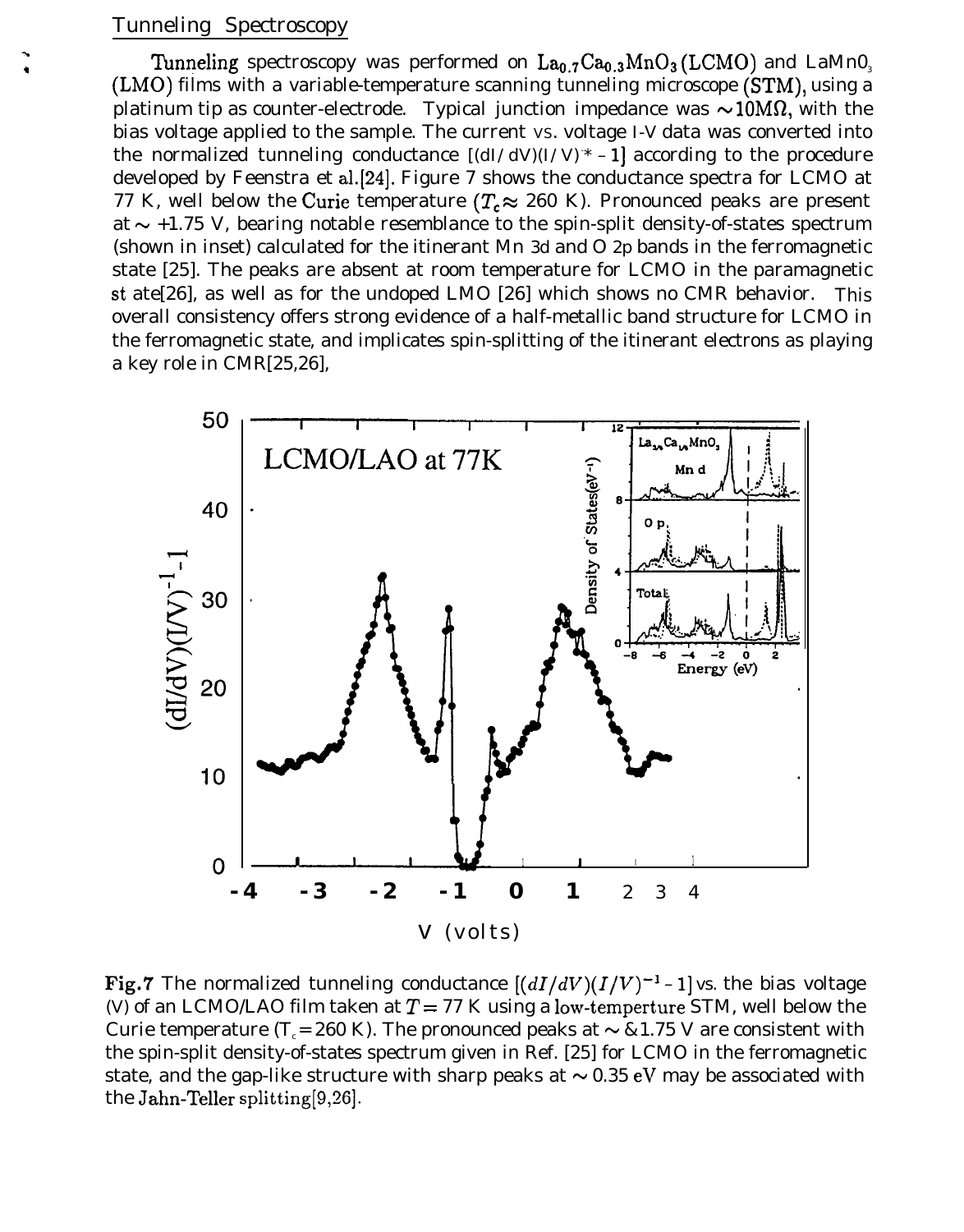# Tunneling Spectroscopy

-.

Tunneling spectroscopy was performed on  $La_{0.7}Ca_{0.3}MnO_3(LCMO)$  and LaMnO<sub>3</sub> (LMO) films with a variable-temperature scanning tunneling microscope (STM), using a platinum tip as counter-electrode. Typical junction impedance was  $\sim 10 \text{M}\Omega$ , with the bias voltage applied to the sample. The current VS. voltage *I-V* data was converted into the normalized tunneling conductance *[(dI/dV)(I/V)- \* – 1]* according to the procedure developed by Feenstra et al.[24]. Figure 7 shows the conductance spectra for LCMO at 77 K, well below the Curie temperature ( $T_c \approx 260$  K). Pronounced peaks are present at  $\sim$  +1.75 V, bearing notable resemblance to the spin-split density-of-states spectrum (shown in inset) calculated for the itinerant Mn *3d* and O *2p* bands in the ferromagnetic state [25]. The peaks are absent at room temperature for LCMO in the paramagnetic st ate[26], as well as for the undoped LMO [26] which shows no CMR behavior. This overall consistency offers strong evidence of a half-metallic band structure for LCMO in the ferromagnetic state, and implicates spin-splitting of the itinerant electrons as playing a key role in CMR[25,26],



Fig.7 The normalized tunneling conductance  $[(dI/dV)(I/V)^{-1} - 1]$  vs. the bias voltage *(V)* of an LCMO/LAO film taken at  $T = 77$  K using a low-temperture STM, well below the Curie temperature (T<sub>c</sub> = 260 K). The pronounced peaks at  $\sim \& 1.75$  V are consistent with the spin-split density-of-states spectrum given in Ref. [25] for LCMO in the ferromagnetic state, and the gap-like structure with sharp peaks at  $\sim 0.35$  eV may be associated with the Jahn-Teller splitting[9,26].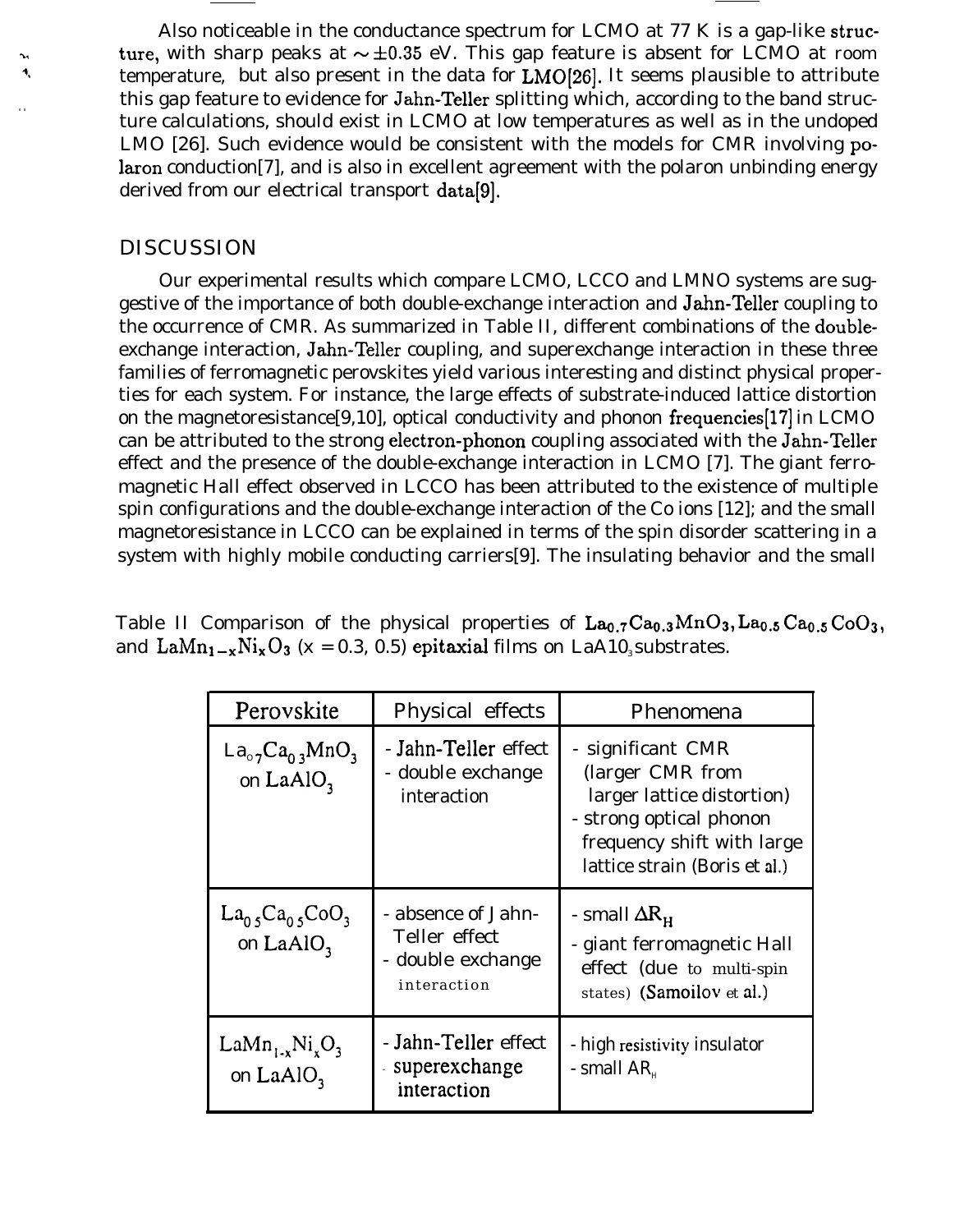Also noticeable in the conductance spectrum for LCMO at 77 K is a gap-like struc ture, with sharp peaks at  $\sim \pm 0.35$  eV. This gap feature is absent for LCMO at *room* <sup>4</sup> temperature, but also present in the data for LMO(26). It seems plausible to attribute this gap feature to evidence for Jahn-Teller splitting which, according to the band struc ture calculations, should exist in LCMO at low temperatures as well as in the undoped LMO [26]. Such evidence would be consistent with the models for CMR involving polaron conduction[7], and is also in excellent agreement with the polaron unbinding energy derived from our electrical transport data[9].

#### DISCUSSION

. .

Our experimental results which compare LCMO, LCCO and LMNO systems are suggestive of the importance of both double-exchange interaction and Jahn-Teller coupling to the occurrence of CMR. As summarized in Table II, different combinations of the doubleexchange interaction, Jahn-Teller coupling, and superexchange interaction in these three families of ferromagnetic perovskites yield various interesting and distinct physical properties for each system. For instance, the large effects of substrate-induced lattice distortion on the magnetoresistance[9,10], optical conductivity and phonon frequencies[17] in LCMO can be attributed to the strong electron-phonon coupling associated with the Jahn-Teller effect and the presence of the double-exchange interaction in LCMO [7]. The giant ferromagnetic Hall effect observed in LCCO has been attributed to the existence of multiple spin configurations and the double-exchange interaction of the Co ions [12]; and the small magnetoresistance in LCCO can be explained in terms of the spin disorder scattering in a system with highly mobile conducting carriers[9]. The insulating behavior and the small

Table II Comparison of the physical properties of  $La_{0.7}Ca_{0.3}MnO_3$ ,  $La_{0.5}Ca_{0.5}CoO_3$ , and  $\text{LaMn}_{1-x}\text{Ni}_x\text{O}_3$  (x = 0.3, 0.5) epitaxial films on LaA10, substrates.

| Perovskite                                     | Physical effects                                                        | Phenomena                                                                                                                                                     |  |  |
|------------------------------------------------|-------------------------------------------------------------------------|---------------------------------------------------------------------------------------------------------------------------------------------------------------|--|--|
| $La_{07}Ca_{03}MnO_3$<br>on LaAlO <sub>3</sub> | - Jahn-Teller effect<br>- double exchange<br>interaction                | - significant CMR<br>(larger CMR from<br>larger lattice distortion)<br>- strong optical phonon<br>frequency shift with large<br>lattice strain (Boris et al.) |  |  |
| $La_{0.5}Ca_{0.5}CoO_3$<br>on LaAlO,           | - absence of Jahn-<br>Teller effect<br>- double exchange<br>interaction | - small $\Delta R_{\mu}$<br>- giant ferromagnetic Hall<br>effect (due to multi-spin<br>states) (Samoilov et al.)                                              |  |  |
| $LaMn_{1.x}Ni_xO_3$<br>on $LaAlO3$             | - Jahn-Teller effect<br>superexchange<br>interaction                    | - high resistivity insulator<br>- small $AR_u$                                                                                                                |  |  |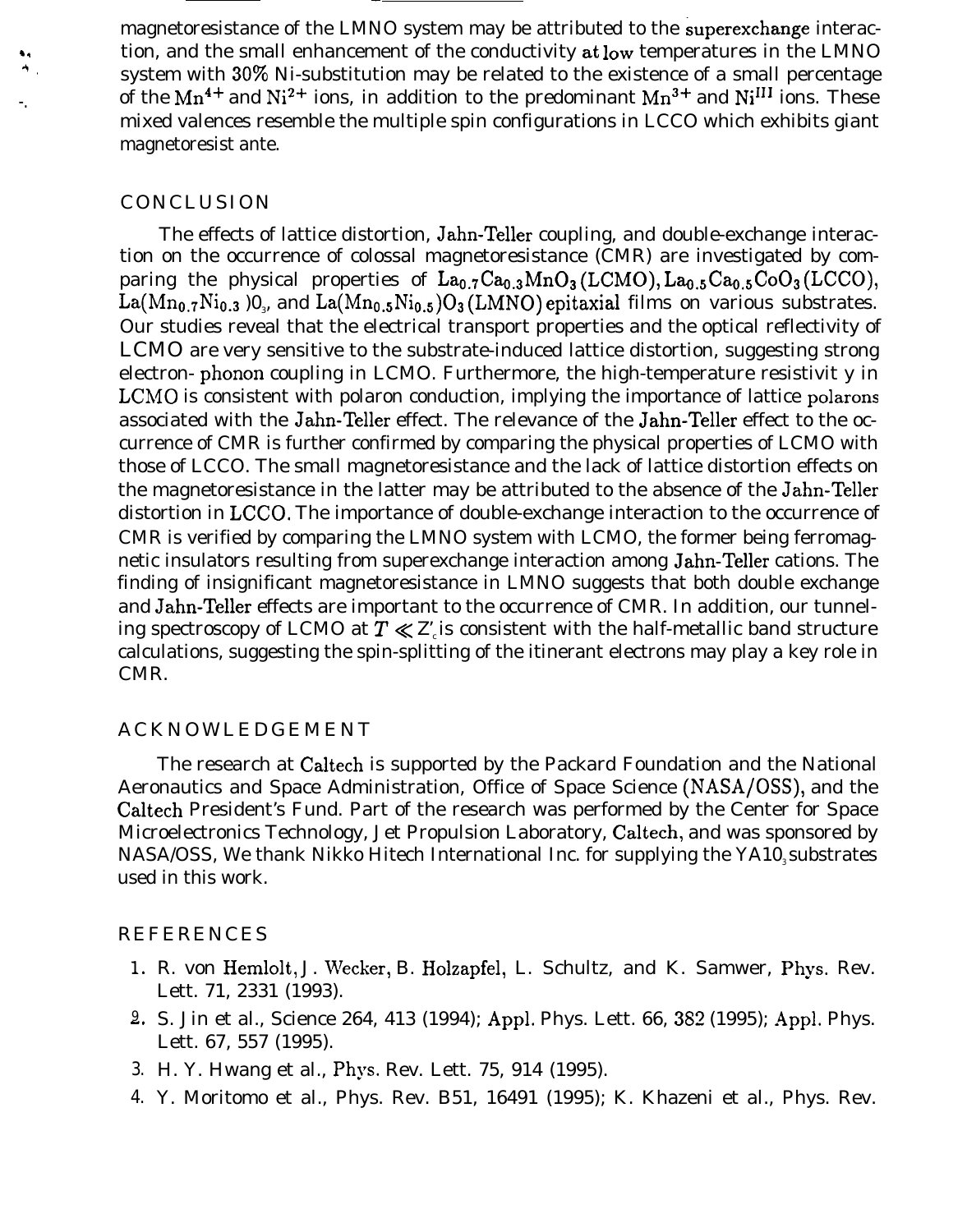magnetoresistance of the LMNO system may be attributed to the superexchange interac- $\dot{A}$ . tion, and the small enhancement of the conductivity at low temperatures in the LMNO<br> $\dot{A}$ . system with  $30\%$  Ni substitution may be related to the existence of a small percentage system with 30% Ni-substitution may be related to the existence of a small percentage of the Mn<sup>4+</sup> and Ni<sup>2+</sup> ions, in addition to the predominant  $Mn^{3+}$  and Ni<sup>III</sup> ions. These mixed valences resemble the multiple spin configurations in LCCO which exhibits giant magnetoresist ante.

#### CONCLUSION

The effects of lattice distortion, Jahn-Teller coupling, and double-exchange interaction on the occurrence of colossal magnetoresistance (CMR) are investigated by comparing the physical properties of  $La_{0.7}Ca_{0.3}MnO_3(LCMO), La_{0.5}Ca_{0.5}CoO_3(LCCO),$  $\rm La(Mn_{0.7}Ni_{0.3}$  )0 $_{_3}$ , and  $\rm La(Mn_{0.5}Ni_{0.5})O_3(LMNO)$ epitaxial films on various substrates. Our studies reveal that the electrical transport properties and the optical reflectivity of LCMO are very sensitive to the substrate-induced lattice distortion, suggesting strong electron- phonon coupling in LCMO. Furthermore, the high-temperature resistivit y in LCMO is consistent with polaron conduction, implying the importance of lattice polarons associated with the Jahn-Teller effect. The relevance of the Jahn-Teller effect to the occurrence of CMR is further confirmed by comparing the physical properties of LCMO with those of LCCO. The small magnetoresistance and the lack of lattice distortion effects on the magnetoresistance in the latter may be attributed to the absence of the Jahn-Teller distortion in LCCO, The importance of double-exchange interaction to the occurrence of CMR is verified by comparing the LMNO system with LCMO, the former being ferromagnetic insulators resulting from superexchange interaction among Jahn-Teller cations. The finding of insignificant magnetoresistance in LMNO suggests that both double exchange and Jahn-Teller effects are important to the occurrence of CMR. In addition, our tunneling spectroscopy of LCMO at  $T \ll Z$  is consistent with the half-metallic band structure calculations, suggesting the spin-splitting of the itinerant electrons may play a key role in CMR.

#### **ACKNOWLEDGEMENT**

The research at Caltech is supported by the Packard Foundation and the National Aeronautics and Space Administration, Office of Space Science (NASA/OSS), and the Caltech President's Fund. Part of the research was performed by the Center for Space Microelectronics Technology, Jet Propulsion Laboratory, Caltech, and was sponsored by NASA/OSS, We thank Nikko Hitech International Inc. for supplying the YA10, substrates used in this work.

#### REFERENCES

- 1. R. von Hemlolt, J. Wecker, B. Holzapfel, L. Schultz, and K. Samwer, Phys. Rev. Lett. 71, 2331 (1993).
- $2.~$  S. Jin et al., Science 264, 413 (1994); Appl. Phys. Lett. 66, 382 (1995); Appl. Phys. Lett. 67, 557 (1995).
- 3. H. Y. Hwang et al., Phys. Rev. Lett. 75, 914 (1995).
- 4. Y. Moritomo et al., Phys. Rev. B51, 16491 (1995); K. Khazeni et al., Phys. Rev.